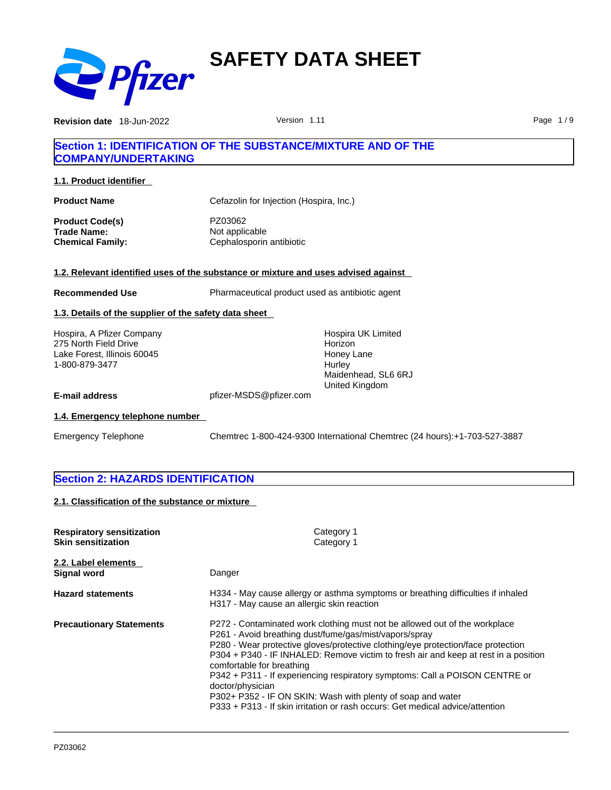

**Revision date** 18-Jun-2022 **Contract Contract Contract Version 1.11 Page 1/9** Page 1/9

### **Section 1: IDENTIFICATION OF THE SUBSTANCE/MIXTURE AND OF THE COMPANY/UNDERTAKING**

**1.1. Product identifier** 

**Product Name** Cefazolin for Injection (Hospira, Inc.) **Product Code(s)** PZ03062 **Trade Name:** Not applicable **Chemical Family:** Cephalosporin antibiotic

#### **1.2. Relevant identified uses of the substance or mixture and uses advised against**

**Recommended Use** Pharmaceutical product used as antibiotic agent

#### **1.3. Details of the supplier of the safety data sheet**

Hospira, A Pfizer Company 275 North Field Drive Lake Forest, Illinois 60045 1-800-879-3477

Hospira UK Limited Horizon Honey Lane **Hurley** Maidenhead, SL6 6RJ United Kingdom

**E-mail address** pfizer-MSDS@pfizer.com

#### **1.4. Emergency telephone number**

Emergency Telephone Chemtrec 1-800-424-9300 International Chemtrec (24 hours):+1-703-527-3887

#### **Section 2: HAZARDS IDENTIFICATION**

**2.1. Classification of the substance or mixture**

| <b>Respiratory sensitization</b><br><b>Skin sensitization</b> | Category 1<br>Category 1                                                                                                                                                                                                                                                                                                                                                                                                                                                                                                                                                                        |
|---------------------------------------------------------------|-------------------------------------------------------------------------------------------------------------------------------------------------------------------------------------------------------------------------------------------------------------------------------------------------------------------------------------------------------------------------------------------------------------------------------------------------------------------------------------------------------------------------------------------------------------------------------------------------|
| 2.2. Label elements<br>Signal word                            | Danger                                                                                                                                                                                                                                                                                                                                                                                                                                                                                                                                                                                          |
| <b>Hazard statements</b>                                      | H334 - May cause allergy or asthma symptoms or breathing difficulties if inhaled<br>H317 - May cause an allergic skin reaction                                                                                                                                                                                                                                                                                                                                                                                                                                                                  |
| <b>Precautionary Statements</b>                               | P272 - Contaminated work clothing must not be allowed out of the workplace<br>P261 - Avoid breathing dust/fume/gas/mist/vapors/spray<br>P280 - Wear protective gloves/protective clothing/eye protection/face protection<br>P304 + P340 - IF INHALED: Remove victim to fresh air and keep at rest in a position<br>comfortable for breathing<br>P342 + P311 - If experiencing respiratory symptoms: Call a POISON CENTRE or<br>doctor/physician<br>P302+ P352 - IF ON SKIN: Wash with plenty of soap and water<br>P333 + P313 - If skin irritation or rash occurs: Get medical advice/attention |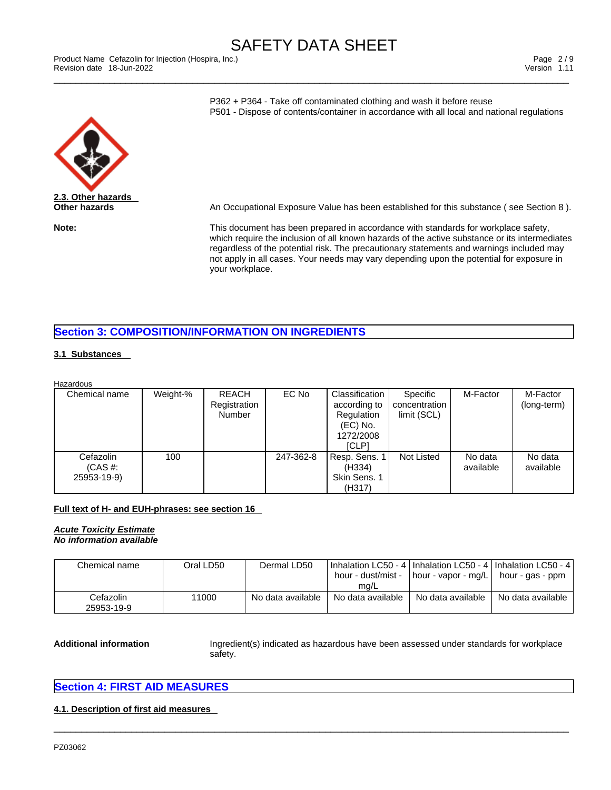\_\_\_\_\_\_\_\_\_\_\_\_\_\_\_\_\_\_\_\_\_\_\_\_\_\_\_\_\_\_\_\_\_\_\_\_\_\_\_\_\_\_\_\_\_\_\_\_\_\_\_\_\_\_\_\_\_\_\_\_\_\_\_\_\_\_\_\_\_\_\_\_\_\_\_\_\_\_\_\_\_\_\_\_\_\_\_\_\_\_\_\_\_ Product Name Cefazolin for Injection (Hospira, Inc.) Page 2 / 9 Revision date 18-Jun-2022 Version 1.11

P362 + P364 - Take off contaminated clothing and wash it before reuse P501 - Dispose of contents/container in accordance with all local and national regulations



**Other hazards An Occupational Exposure Value has been established for this substance ( see Section 8 ).** 

**Note:** This document has been prepared in accordance with standards for workplace safety, which require the inclusion of all known hazards of the active substance or its intermediates regardless of the potential risk. The precautionary statements and warnings included may not apply in all cases. Your needs may vary depending upon the potential for exposure in your workplace.

### **Section 3: COMPOSITION/INFORMATION ON INGREDIENTS**

#### **3.1 Substances**

| Chemical name                           | Weight-% | REACH<br>Registration<br>Number | EC No     | Classification<br>according to<br>Regulation<br>$(EC)$ No.<br>1272/2008<br><b>ICLP1</b> | Specific<br>concentration<br>limit (SCL) | M-Factor             | M-Factor<br>(long-term) |
|-----------------------------------------|----------|---------------------------------|-----------|-----------------------------------------------------------------------------------------|------------------------------------------|----------------------|-------------------------|
| Cefazolin<br>$(CAS \#$ :<br>25953-19-9) | 100      |                                 | 247-362-8 | Resp. Sens. 1<br>(H334)<br>Skin Sens. 1<br>(H317)                                       | Not Listed                               | No data<br>available | No data<br>available    |

#### **Full text of H- and EUH-phrases: see section 16**

#### *Acute Toxicity Estimate No information available*

| Chemical name           | Oral LD50 | Dermal LD50       | I Inhalation LC50 - 4   Inhalation LC50 - 4   Inhalation LC50 - 4  <br>hour - dust/mist -<br>ma/L | hour - vapor - mg/L | . hour - gas - ppm ' |
|-------------------------|-----------|-------------------|---------------------------------------------------------------------------------------------------|---------------------|----------------------|
| Cefazolin<br>25953-19-9 | 11000     | No data available | No data available                                                                                 | No data available   | No data available    |

 $\_$  ,  $\_$  ,  $\_$  ,  $\_$  ,  $\_$  ,  $\_$  ,  $\_$  ,  $\_$  ,  $\_$  ,  $\_$  ,  $\_$  ,  $\_$  ,  $\_$  ,  $\_$  ,  $\_$  ,  $\_$  ,  $\_$  ,  $\_$  ,  $\_$  ,  $\_$  ,  $\_$  ,  $\_$  ,  $\_$  ,  $\_$  ,  $\_$  ,  $\_$  ,  $\_$  ,  $\_$  ,  $\_$  ,  $\_$  ,  $\_$  ,  $\_$  ,  $\_$  ,  $\_$  ,  $\_$  ,  $\_$  ,  $\_$  ,

Additional information **Ingredient(s)** indicated as hazardous have been assessed under standards for workplace safety.

#### **Section 4: FIRST AID MEASURES**

#### **4.1. Description of first aid measures**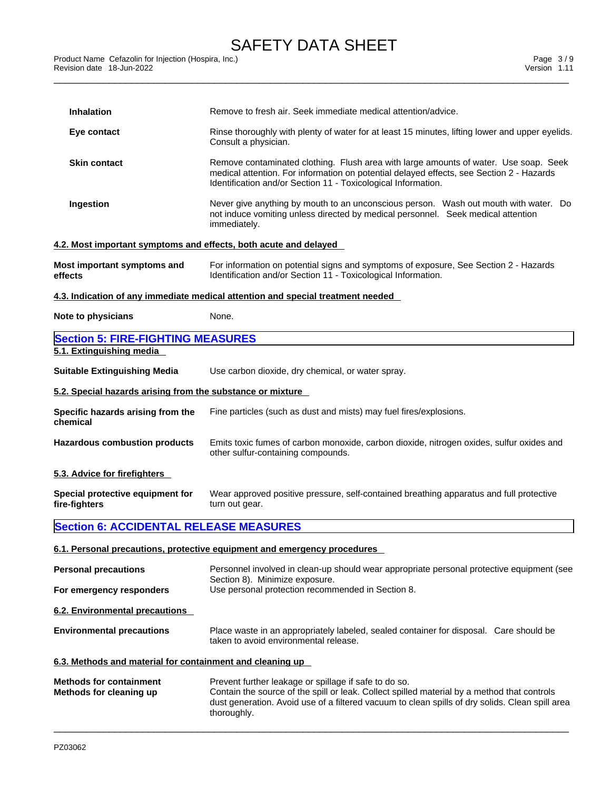| <b>Inhalation</b>                                                | Remove to fresh air. Seek immediate medical attention/advice.                                                                                                                                                                                                          |
|------------------------------------------------------------------|------------------------------------------------------------------------------------------------------------------------------------------------------------------------------------------------------------------------------------------------------------------------|
| Eye contact                                                      | Rinse thoroughly with plenty of water for at least 15 minutes, lifting lower and upper eyelids.<br>Consult a physician.                                                                                                                                                |
| <b>Skin contact</b>                                              | Remove contaminated clothing. Flush area with large amounts of water. Use soap. Seek<br>medical attention. For information on potential delayed effects, see Section 2 - Hazards<br>Identification and/or Section 11 - Toxicological Information.                      |
| Ingestion                                                        | Never give anything by mouth to an unconscious person. Wash out mouth with water. Do<br>not induce vomiting unless directed by medical personnel. Seek medical attention<br>immediately.                                                                               |
| 4.2. Most important symptoms and effects, both acute and delayed |                                                                                                                                                                                                                                                                        |
| Most important symptoms and<br>effects                           | For information on potential signs and symptoms of exposure, See Section 2 - Hazards<br>Identification and/or Section 11 - Toxicological Information.                                                                                                                  |
|                                                                  | 4.3. Indication of any immediate medical attention and special treatment needed                                                                                                                                                                                        |
| Note to physicians                                               | None.                                                                                                                                                                                                                                                                  |
| <b>Section 5: FIRE-FIGHTING MEASURES</b>                         |                                                                                                                                                                                                                                                                        |
| 5.1. Extinguishing media                                         |                                                                                                                                                                                                                                                                        |
| <b>Suitable Extinguishing Media</b>                              | Use carbon dioxide, dry chemical, or water spray.                                                                                                                                                                                                                      |
| 5.2. Special hazards arising from the substance or mixture       |                                                                                                                                                                                                                                                                        |
| Specific hazards arising from the<br>chemical                    | Fine particles (such as dust and mists) may fuel fires/explosions.                                                                                                                                                                                                     |
| <b>Hazardous combustion products</b>                             | Emits toxic fumes of carbon monoxide, carbon dioxide, nitrogen oxides, sulfur oxides and<br>other sulfur-containing compounds.                                                                                                                                         |
| 5.3. Advice for firefighters                                     |                                                                                                                                                                                                                                                                        |
| Special protective equipment for<br>fire-fighters                | Wear approved positive pressure, self-contained breathing apparatus and full protective<br>turn out gear.                                                                                                                                                              |
| <b>Section 6: ACCIDENTAL RELEASE MEASURES</b>                    |                                                                                                                                                                                                                                                                        |
|                                                                  | 6.1. Personal precautions, protective equipment and emergency procedures                                                                                                                                                                                               |
| <b>Personal precautions</b>                                      | Personnel involved in clean-up should wear appropriate personal protective equipment (see                                                                                                                                                                              |
| For emergency responders                                         | Section 8). Minimize exposure.<br>Use personal protection recommended in Section 8.                                                                                                                                                                                    |
| 6.2. Environmental precautions                                   |                                                                                                                                                                                                                                                                        |
| <b>Environmental precautions</b>                                 | Place waste in an appropriately labeled, sealed container for disposal. Care should be<br>taken to avoid environmental release.                                                                                                                                        |
| 6.3. Methods and material for containment and cleaning up        |                                                                                                                                                                                                                                                                        |
| <b>Methods for containment</b><br>Methods for cleaning up        | Prevent further leakage or spillage if safe to do so.<br>Contain the source of the spill or leak. Collect spilled material by a method that controls<br>dust generation. Avoid use of a filtered vacuum to clean spills of dry solids. Clean spill area<br>thoroughly. |
|                                                                  |                                                                                                                                                                                                                                                                        |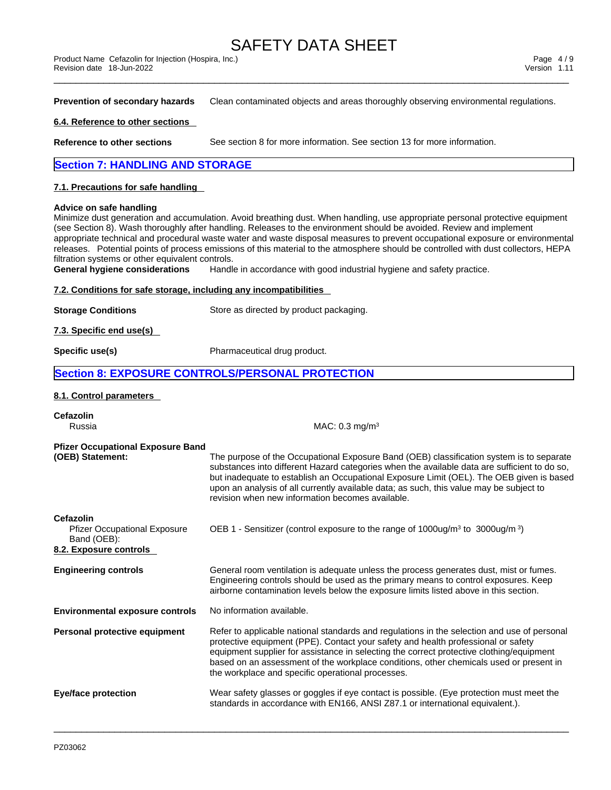**Prevention of secondary hazards** Clean contaminated objects and areas thoroughly observing environmental regulations.

#### **6.4. Reference to other sections**

**Reference to other sections** See section 8 for more information. See section 13 for more information.

#### **Section 7: HANDLING AND STORAGE**

#### **7.1. Precautions for safe handling**

#### **Advice on safe handling**

Minimize dust generation and accumulation. Avoid breathing dust. When handling, use appropriate personal protective equipment (see Section 8). Wash thoroughly after handling. Releases to the environment should be avoided. Review and implement appropriate technical and procedural waste water and waste disposal measures to prevent occupational exposure or environmental releases. Potential points of process emissions of this material to the atmosphere should be controlled with dust collectors, HEPA filtration systems or other equivalent controls.

**General hygiene considerations** Handle in accordance with good industrial hygiene and safety practice.

#### **7.2. Conditions for safe storage, including any incompatibilities**

**Storage Conditions** Store as directed by product packaging.

**7.3. Specific end use(s)** 

**Specific use(s)** Pharmaceutical drug product.

#### **Section 8: EXPOSURE CONTROLS/PERSONAL PROTECTION**

#### **8.1. Control parameters**

| Cefazolin<br>Russia                                                                       | MAC: $0.3$ mg/m <sup>3</sup>                                                                                                                                                                                                                                                                                                                                                                                                        |
|-------------------------------------------------------------------------------------------|-------------------------------------------------------------------------------------------------------------------------------------------------------------------------------------------------------------------------------------------------------------------------------------------------------------------------------------------------------------------------------------------------------------------------------------|
| <b>Pfizer Occupational Exposure Band</b><br>(OEB) Statement:                              | The purpose of the Occupational Exposure Band (OEB) classification system is to separate<br>substances into different Hazard categories when the available data are sufficient to do so,<br>but inadequate to establish an Occupational Exposure Limit (OEL). The OEB given is based<br>upon an analysis of all currently available data; as such, this value may be subject to<br>revision when new information becomes available. |
| Cefazolin<br><b>Pfizer Occupational Exposure</b><br>Band (OEB):<br>8.2. Exposure controls | OEB 1 - Sensitizer (control exposure to the range of $1000\mu g/m^3$ to $3000\mu g/m^3$ )                                                                                                                                                                                                                                                                                                                                           |
| <b>Engineering controls</b>                                                               | General room ventilation is adequate unless the process generates dust, mist or fumes.<br>Engineering controls should be used as the primary means to control exposures. Keep<br>airborne contamination levels below the exposure limits listed above in this section.                                                                                                                                                              |
| <b>Environmental exposure controls</b>                                                    | No information available.                                                                                                                                                                                                                                                                                                                                                                                                           |
| Personal protective equipment                                                             | Refer to applicable national standards and regulations in the selection and use of personal<br>protective equipment (PPE). Contact your safety and health professional or safety<br>equipment supplier for assistance in selecting the correct protective clothing/equipment<br>based on an assessment of the workplace conditions, other chemicals used or present in<br>the workplace and specific operational processes.         |
| Eye/face protection                                                                       | Wear safety glasses or goggles if eye contact is possible. (Eye protection must meet the<br>standards in accordance with EN166, ANSI Z87.1 or international equivalent.).                                                                                                                                                                                                                                                           |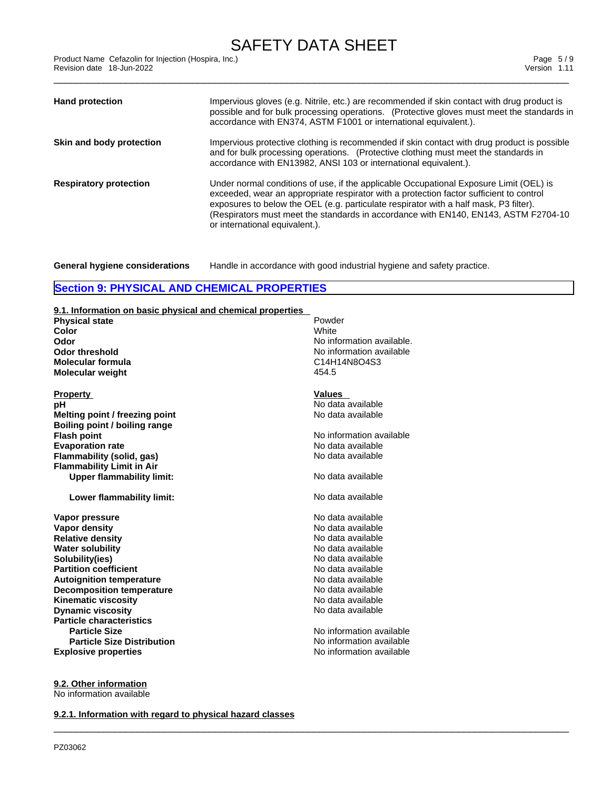\_\_\_\_\_\_\_\_\_\_\_\_\_\_\_\_\_\_\_\_\_\_\_\_\_\_\_\_\_\_\_\_\_\_\_\_\_\_\_\_\_\_\_\_\_\_\_\_\_\_\_\_\_\_\_\_\_\_\_\_\_\_\_\_\_\_\_\_\_\_\_\_\_\_\_\_\_\_\_\_\_\_\_\_\_\_\_\_\_\_\_\_\_ Product Name Cefazolin for Injection (Hospira, Inc.) Page 5 / 9 Revision date 18-Jun-2022 Version 1.11

| Impervious gloves (e.g. Nitrile, etc.) are recommended if skin contact with drug product is<br><b>Hand protection</b><br>possible and for bulk processing operations. (Protective gloves must meet the standards in<br>accordance with EN374, ASTM F1001 or international equivalent.).                                                                                                                                              |
|--------------------------------------------------------------------------------------------------------------------------------------------------------------------------------------------------------------------------------------------------------------------------------------------------------------------------------------------------------------------------------------------------------------------------------------|
|                                                                                                                                                                                                                                                                                                                                                                                                                                      |
| Impervious protective clothing is recommended if skin contact with drug product is possible<br>Skin and body protection<br>and for bulk processing operations. (Protective clothing must meet the standards in<br>accordance with EN13982, ANSI 103 or international equivalent.).                                                                                                                                                   |
| Under normal conditions of use, if the applicable Occupational Exposure Limit (OEL) is<br><b>Respiratory protection</b><br>exceeded, wear an appropriate respirator with a protection factor sufficient to control<br>exposures to below the OEL (e.g. particulate respirator with a half mask, P3 filter).<br>(Respirators must meet the standards in accordance with EN140, EN143, ASTM F2704-10<br>or international equivalent.). |

**General hygiene considerations** Handle in accordance with good industrial hygiene and safety practice.

 $\_$  ,  $\_$  ,  $\_$  ,  $\_$  ,  $\_$  ,  $\_$  ,  $\_$  ,  $\_$  ,  $\_$  ,  $\_$  ,  $\_$  ,  $\_$  ,  $\_$  ,  $\_$  ,  $\_$  ,  $\_$  ,  $\_$  ,  $\_$  ,  $\_$  ,  $\_$  ,  $\_$  ,  $\_$  ,  $\_$  ,  $\_$  ,  $\_$  ,  $\_$  ,  $\_$  ,  $\_$  ,  $\_$  ,  $\_$  ,  $\_$  ,  $\_$  ,  $\_$  ,  $\_$  ,  $\_$  ,  $\_$  ,  $\_$  ,

### **Section 9: PHYSICAL AND CHEMICAL PROPERTIES**

#### **9.1. Information on basic physical and chemical properties**

| <b>Physical state</b>             | Powder                    |
|-----------------------------------|---------------------------|
| Color                             | White                     |
| Odor                              | No information available. |
| <b>Odor threshold</b>             | No information available  |
| <b>Molecular formula</b>          | C14H14N8O4S3              |
| <b>Molecular weight</b>           | 454.5                     |
| <b>Property</b>                   | <b>Values</b>             |
| рH                                | No data available         |
| Melting point / freezing point    | No data available         |
| Boiling point / boiling range     |                           |
| <b>Flash point</b>                | No information available  |
| <b>Evaporation rate</b>           | No data available         |
| Flammability (solid, gas)         | No data available         |
| <b>Flammability Limit in Air</b>  |                           |
| <b>Upper flammability limit:</b>  | No data available         |
| Lower flammability limit:         | No data available         |
| Vapor pressure                    | No data available         |
| Vapor density                     | No data available         |
| <b>Relative density</b>           | No data available         |
| <b>Water solubility</b>           | No data available         |
| Solubility(ies)                   | No data available         |
| <b>Partition coefficient</b>      | No data available         |
| <b>Autoignition temperature</b>   | No data available         |
| <b>Decomposition temperature</b>  | No data available         |
| <b>Kinematic viscosity</b>        | No data available         |
| <b>Dynamic viscosity</b>          | No data available         |
| <b>Particle characteristics</b>   |                           |
| <b>Particle Size</b>              | No information available  |
| <b>Particle Size Distribution</b> | No information available  |
| <b>Explosive properties</b>       | No information available  |
|                                   |                           |

**9.2. Other information**

No information available

**9.2.1. Information with regard to physical hazard classes**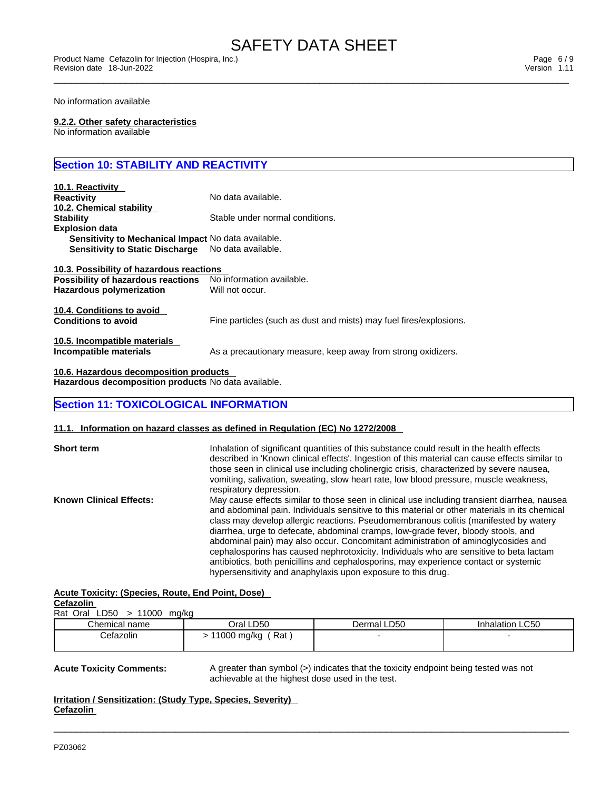\_\_\_\_\_\_\_\_\_\_\_\_\_\_\_\_\_\_\_\_\_\_\_\_\_\_\_\_\_\_\_\_\_\_\_\_\_\_\_\_\_\_\_\_\_\_\_\_\_\_\_\_\_\_\_\_\_\_\_\_\_\_\_\_\_\_\_\_\_\_\_\_\_\_\_\_\_\_\_\_\_\_\_\_\_\_\_\_\_\_\_\_\_ Product Name Cefazolin for Injection (Hospira, Inc.) Page 6 / 9 Revision date 18-Jun-2022 Version 1.11

No information available

#### **9.2.2. Other safety characteristics**

No information available

### **Section 10: STABILITY AND REACTIVITY**

| 10.1. Reactivity<br><b>Reactivity</b><br>10.2. Chemical stability                                                 | No data available.                                                 |
|-------------------------------------------------------------------------------------------------------------------|--------------------------------------------------------------------|
| <b>Stability</b><br><b>Explosion data</b>                                                                         | Stable under normal conditions.                                    |
| Sensitivity to Mechanical Impact No data available.<br>Sensitivity to Static Discharge No data available.         |                                                                    |
| 10.3. Possibility of hazardous reactions<br>Possibility of hazardous reactions<br><b>Hazardous polymerization</b> | No information available.<br>Will not occur.                       |
| 10.4. Conditions to avoid<br><b>Conditions to avoid</b>                                                           | Fine particles (such as dust and mists) may fuel fires/explosions. |
| 10.5. Incompatible materials<br>Incompatible materials                                                            | As a precautionary measure, keep away from strong oxidizers.       |

**10.6. Hazardous decomposition products Hazardous decomposition products** No data available.

#### **Section 11: TOXICOLOGICAL INFORMATION**

#### **11.1. Information on hazard classes as defined in Regulation (EC) No 1272/2008**

| <b>Short term</b>              | Inhalation of significant quantities of this substance could result in the health effects<br>described in 'Known clinical effects'. Ingestion of this material can cause effects similar to<br>those seen in clinical use including cholinergic crisis, characterized by severe nausea, |  |
|--------------------------------|-----------------------------------------------------------------------------------------------------------------------------------------------------------------------------------------------------------------------------------------------------------------------------------------|--|
|                                | vomiting, salivation, sweating, slow heart rate, low blood pressure, muscle weakness,                                                                                                                                                                                                   |  |
|                                | respiratory depression.                                                                                                                                                                                                                                                                 |  |
| <b>Known Clinical Effects:</b> | May cause effects similar to those seen in clinical use including transient diarrhea, nausea<br>and abdominal pain. Individuals sensitive to this material or other materials in its chemical<br>class may develop allergic reactions. Pseudomembranous colitis (manifested by watery   |  |
|                                | diarrhea, urge to defecate, abdominal cramps, low-grade fever, bloody stools, and                                                                                                                                                                                                       |  |
|                                | abdominal pain) may also occur. Concomitant administration of aminoglycosides and                                                                                                                                                                                                       |  |
|                                | cephalosporins has caused nephrotoxicity. Individuals who are sensitive to beta lactam                                                                                                                                                                                                  |  |
|                                | antibiotics, both penicillins and cephalosporins, may experience contact or systemic                                                                                                                                                                                                    |  |
|                                | hypersensitivity and anaphylaxis upon exposure to this drug.                                                                                                                                                                                                                            |  |

#### **Acute Toxicity: (Species, Route, End Point, Dose) Cefazolin**

| --------- |  |                               |  |
|-----------|--|-------------------------------|--|
|           |  | Rat Oral $LD50$ > 11000 mg/kg |  |

| .<br>---<br>----<br> |                   |             |                 |
|----------------------|-------------------|-------------|-----------------|
| Chemical name        | Oral LD50         | Dermal LD50 | Inhalation LC50 |
| Cetazolin            | 1000 mg/kg<br>Rat |             |                 |

 $\_$  ,  $\_$  ,  $\_$  ,  $\_$  ,  $\_$  ,  $\_$  ,  $\_$  ,  $\_$  ,  $\_$  ,  $\_$  ,  $\_$  ,  $\_$  ,  $\_$  ,  $\_$  ,  $\_$  ,  $\_$  ,  $\_$  ,  $\_$  ,  $\_$  ,  $\_$  ,  $\_$  ,  $\_$  ,  $\_$  ,  $\_$  ,  $\_$  ,  $\_$  ,  $\_$  ,  $\_$  ,  $\_$  ,  $\_$  ,  $\_$  ,  $\_$  ,  $\_$  ,  $\_$  ,  $\_$  ,  $\_$  ,  $\_$  ,

**Acute Toxicity Comments:** A greater than symbol (>) indicates that the toxicity endpoint being tested was not achievable at the highest dose used in the test.

**Irritation / Sensitization: (Study Type, Species, Severity) Cefazolin**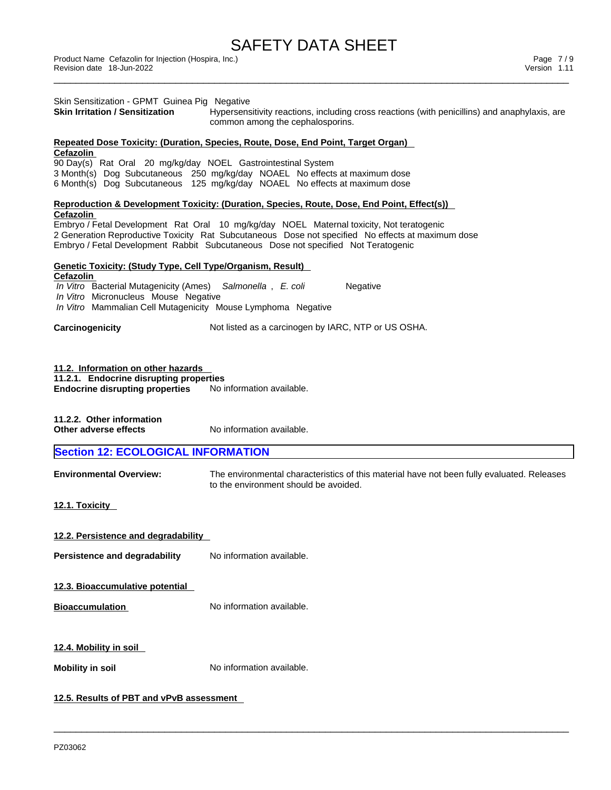\_\_\_\_\_\_\_\_\_\_\_\_\_\_\_\_\_\_\_\_\_\_\_\_\_\_\_\_\_\_\_\_\_\_\_\_\_\_\_\_\_\_\_\_\_\_\_\_\_\_\_\_\_\_\_\_\_\_\_\_\_\_\_\_\_\_\_\_\_\_\_\_\_\_\_\_\_\_\_\_\_\_\_\_\_\_\_\_\_\_\_\_\_ Product Name Cefazolin for Injection (Hospira, Inc.) Page 7 / 9 Revision date 18-Jun-2022 Version 1.11

| Skin Sensitization - GPMT Guinea Pig Negative<br><b>Skin Irritation / Sensitization</b>                                                                                                                                                                                                         | Hypersensitivity reactions, including cross reactions (with penicillins) and anaphylaxis, are<br>common among the cephalosporins.                        |  |  |  |
|-------------------------------------------------------------------------------------------------------------------------------------------------------------------------------------------------------------------------------------------------------------------------------------------------|----------------------------------------------------------------------------------------------------------------------------------------------------------|--|--|--|
|                                                                                                                                                                                                                                                                                                 | Repeated Dose Toxicity: (Duration, Species, Route, Dose, End Point, Target Organ)                                                                        |  |  |  |
| Cefazolin<br>90 Day(s) Rat Oral 20 mg/kg/day NOEL Gastrointestinal System                                                                                                                                                                                                                       | 3 Month(s) Dog Subcutaneous 250 mg/kg/day NOAEL No effects at maximum dose<br>6 Month(s) Dog Subcutaneous 125 mg/kg/day NOAEL No effects at maximum dose |  |  |  |
| Reproduction & Development Toxicity: (Duration, Species, Route, Dose, End Point, Effect(s))                                                                                                                                                                                                     |                                                                                                                                                          |  |  |  |
| Cefazolin<br>Embryo / Fetal Development Rat Oral 10 mg/kg/day NOEL Maternal toxicity, Not teratogenic<br>2 Generation Reproductive Toxicity Rat Subcutaneous Dose not specified No effects at maximum dose<br>Embryo / Fetal Development Rabbit Subcutaneous Dose not specified Not Teratogenic |                                                                                                                                                          |  |  |  |
| <u> Genetic Toxicity: (Study Type, Cell Type/Organism, Result)</u>                                                                                                                                                                                                                              |                                                                                                                                                          |  |  |  |
| Cefazolin<br>In Vitro Bacterial Mutagenicity (Ames) Salmonella, E. coli<br>In Vitro Micronucleus Mouse Negative<br>In Vitro Mammalian Cell Mutagenicity Mouse Lymphoma Negative                                                                                                                 | Negative                                                                                                                                                 |  |  |  |
| Carcinogenicity                                                                                                                                                                                                                                                                                 | Not listed as a carcinogen by IARC, NTP or US OSHA.                                                                                                      |  |  |  |
| 11.2.1. Endocrine disrupting properties<br><b>Endocrine disrupting properties</b><br>11.2.2. Other information<br>Other adverse effects                                                                                                                                                         | No information available.<br>No information available.                                                                                                   |  |  |  |
| <b>Section 12: ECOLOGICAL INFORMATION</b>                                                                                                                                                                                                                                                       |                                                                                                                                                          |  |  |  |
| <b>Environmental Overview:</b>                                                                                                                                                                                                                                                                  | The environmental characteristics of this material have not been fully evaluated. Releases<br>to the environment should be avoided.                      |  |  |  |
| 12.1. Toxicity                                                                                                                                                                                                                                                                                  |                                                                                                                                                          |  |  |  |
| 12.2. Persistence and degradability                                                                                                                                                                                                                                                             |                                                                                                                                                          |  |  |  |
| Persistence and degradability                                                                                                                                                                                                                                                                   | No information available.                                                                                                                                |  |  |  |
| 12.3. Bioaccumulative potential                                                                                                                                                                                                                                                                 |                                                                                                                                                          |  |  |  |
| <b>Bioaccumulation</b>                                                                                                                                                                                                                                                                          | No information available.                                                                                                                                |  |  |  |
| <u>12.4. Mobility in soil</u>                                                                                                                                                                                                                                                                   |                                                                                                                                                          |  |  |  |
| <b>Mobility in soil</b>                                                                                                                                                                                                                                                                         | No information available.                                                                                                                                |  |  |  |
|                                                                                                                                                                                                                                                                                                 |                                                                                                                                                          |  |  |  |
| 12.5. Results of PBT and vPvB assessment                                                                                                                                                                                                                                                        |                                                                                                                                                          |  |  |  |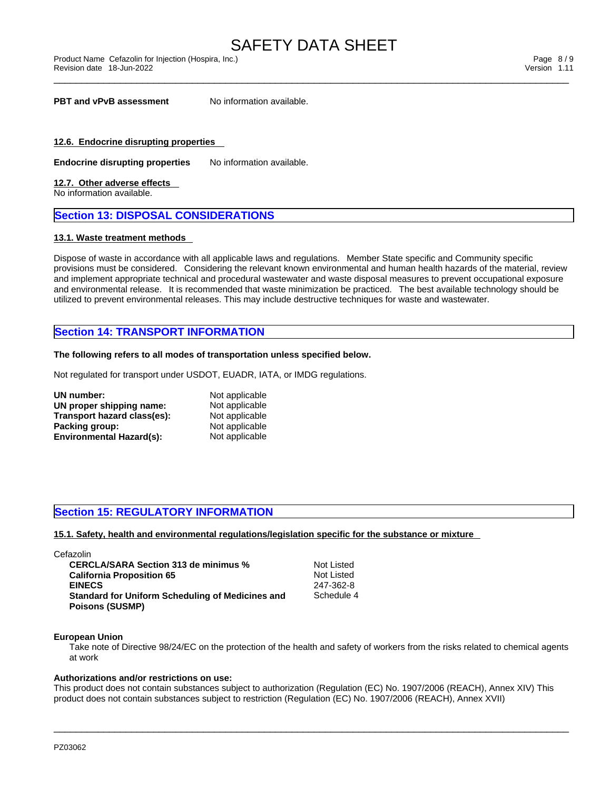\_\_\_\_\_\_\_\_\_\_\_\_\_\_\_\_\_\_\_\_\_\_\_\_\_\_\_\_\_\_\_\_\_\_\_\_\_\_\_\_\_\_\_\_\_\_\_\_\_\_\_\_\_\_\_\_\_\_\_\_\_\_\_\_\_\_\_\_\_\_\_\_\_\_\_\_\_\_\_\_\_\_\_\_\_\_\_\_\_\_\_\_\_ Product Name Cefazolin for Injection (Hospira, Inc.) Page 8 / 9 Revision date 18-Jun-2022 Version 1.11

**PBT** and **vPvB** assessment No information available.

#### **12.6. Endocrine disrupting properties**

**Endocrine disrupting properties** No information available.

#### **12.7. Other adverse effects**

No information available.

#### **Section 13: DISPOSAL CONSIDERATIONS**

#### **13.1. Waste treatment methods**

Dispose of waste in accordance with all applicable laws and regulations. Member State specific and Community specific provisions must be considered. Considering the relevant known environmental and human health hazards of the material, review and implement appropriate technical and procedural wastewater and waste disposal measures to prevent occupational exposure and environmental release. It is recommended that waste minimization be practiced. The best available technology should be utilized to prevent environmental releases. This may include destructive techniques for waste and wastewater.

#### **Section 14: TRANSPORT INFORMATION**

#### **The following refers to all modes of transportation unless specified below.**

Not regulated for transport under USDOT, EUADR, IATA, or IMDG regulations.

| UN number:                      | Not applicable |  |
|---------------------------------|----------------|--|
| UN proper shipping name:        | Not applicable |  |
| Transport hazard class(es):     | Not applicable |  |
| Packing group:                  | Not applicable |  |
| <b>Environmental Hazard(s):</b> | Not applicable |  |

#### **Section 15: REGULATORY INFORMATION**

**15.1. Safety, health and environmental regulations/legislation specific for the substance or mixture**

| Cefazolin                                        |            |  |
|--------------------------------------------------|------------|--|
| <b>CERCLA/SARA Section 313 de minimus %</b>      | Not Listed |  |
| <b>California Proposition 65</b>                 | Not Listed |  |
| <b>EINECS</b>                                    | 247-362-8  |  |
| Standard for Uniform Scheduling of Medicines and | Schedule 4 |  |
| <b>Poisons (SUSMP)</b>                           |            |  |

#### **European Union**

Take note of Directive 98/24/EC on the protection of the health and safety of workers from the risks related to chemical agents at work

#### **Authorizations and/or restrictions on use:**

This product does not contain substances subject to authorization (Regulation (EC) No. 1907/2006 (REACH), Annex XIV) This product does not contain substances subject to restriction (Regulation (EC) No. 1907/2006 (REACH), Annex XVII)